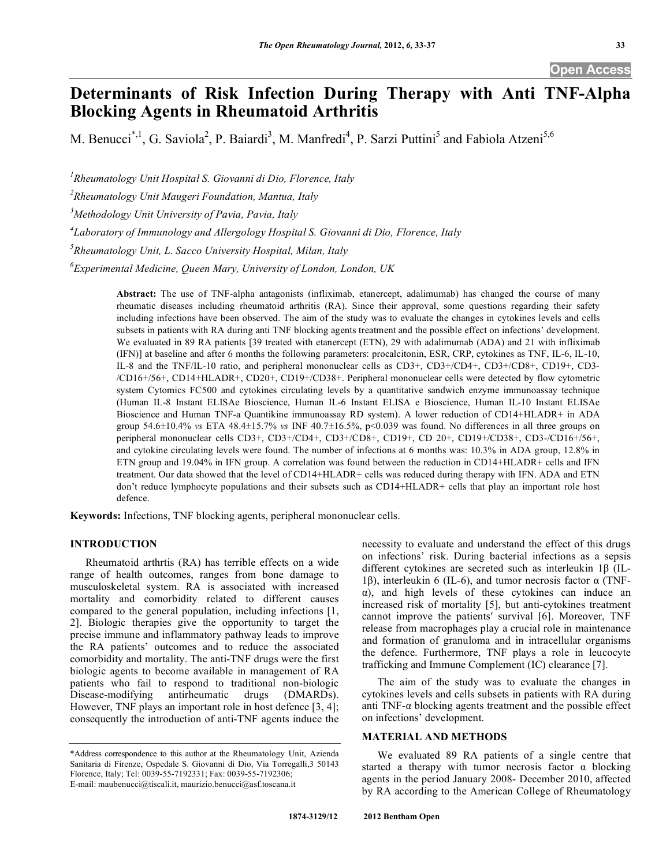# **Determinants of Risk Infection During Therapy with Anti TNF-Alpha Blocking Agents in Rheumatoid Arthritis**

M. Benucci<sup>\*,1</sup>, G. Saviola<sup>2</sup>, P. Baiardi<sup>3</sup>, M. Manfredi<sup>4</sup>, P. Sarzi Puttini<sup>5</sup> and Fabiola Atzeni<sup>5,6</sup>

*1 Rheumatology Unit Hospital S. Giovanni di Dio, Florence, Italy* 

*2 Rheumatology Unit Maugeri Foundation, Mantua, Italy* 

*3 Methodology Unit University of Pavia, Pavia, Italy* 

*4 Laboratory of Immunology and Allergology Hospital S. Giovanni di Dio, Florence, Italy* 

*5 Rheumatology Unit, L. Sacco University Hospital, Milan, Italy* 

*6 Experimental Medicine, Queen Mary, University of London, London, UK* 

**Abstract:** The use of TNF-alpha antagonists (infliximab, etanercept, adalimumab) has changed the course of many rheumatic diseases including rheumatoid arthritis (RA). Since their approval, some questions regarding their safety including infections have been observed. The aim of the study was to evaluate the changes in cytokines levels and cells subsets in patients with RA during anti TNF blocking agents treatment and the possible effect on infections' development. We evaluated in 89 RA patients [39 treated with etanercept (ETN), 29 with adalimumab (ADA) and 21 with infliximab (IFN)] at baseline and after 6 months the following parameters: procalcitonin, ESR, CRP, cytokines as TNF, IL-6, IL-10, IL-8 and the TNF/IL-10 ratio, and peripheral mononuclear cells as CD3+, CD3+/CD4+, CD3+/CD8+, CD19+, CD3- /CD16+/56+, CD14+HLADR+, CD20+, CD19+/CD38+. Peripheral mononuclear cells were detected by flow cytometric system Cytomics FC500 and cytokines circulating levels by a quantitative sandwich enzyme immunoassay technique (Human IL-8 Instant ELISAe Bioscience, Human IL-6 Instant ELISA e Bioscience, Human IL-10 Instant ELISAe Bioscience and Human TNF-a Quantikine immunoassay RD system). A lower reduction of CD14+HLADR+ in ADA group 54.6±10.4% *vs* ETA 48.4±15.7% *vs* INF 40.7±16.5%, p<0.039 was found. No differences in all three groups on peripheral mononuclear cells CD3+, CD3+/CD4+, CD3+/CD8+, CD19+, CD 20+, CD19+/CD38+, CD3-/CD16+/56+, and cytokine circulating levels were found. The number of infections at 6 months was: 10.3% in ADA group, 12.8% in ETN group and 19.04% in IFN group. A correlation was found between the reduction in CD14+HLADR+ cells and IFN treatment. Our data showed that the level of CD14+HLADR+ cells was reduced during therapy with IFN. ADA and ETN don't reduce lymphocyte populations and their subsets such as CD14+HLADR+ cells that play an important role host defence.

**Keywords:** Infections, TNF blocking agents, peripheral mononuclear cells.

# **INTRODUCTION**

 Rheumatoid arthrtis (RA) has terrible effects on a wide range of health outcomes, ranges from bone damage to musculoskeletal system. RA is associated with increased mortality and comorbidity related to different causes compared to the general population, including infections [1, 2]. Biologic therapies give the opportunity to target the precise immune and inflammatory pathway leads to improve the RA patients' outcomes and to reduce the associated comorbidity and mortality. The anti-TNF drugs were the first biologic agents to become available in management of RA patients who fail to respond to traditional non-biologic Disease-modifying antirheumatic drugs (DMARDs). However, TNF plays an important role in host defence [3, 4]; consequently the introduction of anti-TNF agents induce the

necessity to evaluate and understand the effect of this drugs on infections' risk. During bacterial infections as a sepsis different cytokines are secreted such as interleukin  $1\beta$  (IL-1 $\beta$ ), interleukin 6 (IL-6), and tumor necrosis factor  $\alpha$  (TNF-), and high levels of these cytokines can induce an increased risk of mortality [5], but anti-cytokines treatment cannot improve the patients' survival [6]. Moreover, TNF release from macrophages play a crucial role in maintenance and formation of granuloma and in intracellular organisms the defence. Furthermore, TNF plays a role in leucocyte trafficking and Immune Complement (IC) clearance [7].

 The aim of the study was to evaluate the changes in cytokines levels and cells subsets in patients with RA during anti TNF- $\alpha$  blocking agents treatment and the possible effect on infections' development.

# **MATERIAL AND METHODS**

 We evaluated 89 RA patients of a single centre that started a therapy with tumor necrosis factor  $\alpha$  blocking agents in the period January 2008- December 2010, affected by RA according to the American College of Rheumatology

<sup>\*</sup>Address correspondence to this author at the Rheumatology Unit, Azienda Sanitaria di Firenze, Ospedale S. Giovanni di Dio, Via Torregalli,3 50143 Florence, Italy; Tel: 0039-55-7192331; Fax: 0039-55-7192306; E-mail: maubenucci@tiscali.it, maurizio.benucci@asf.toscana.it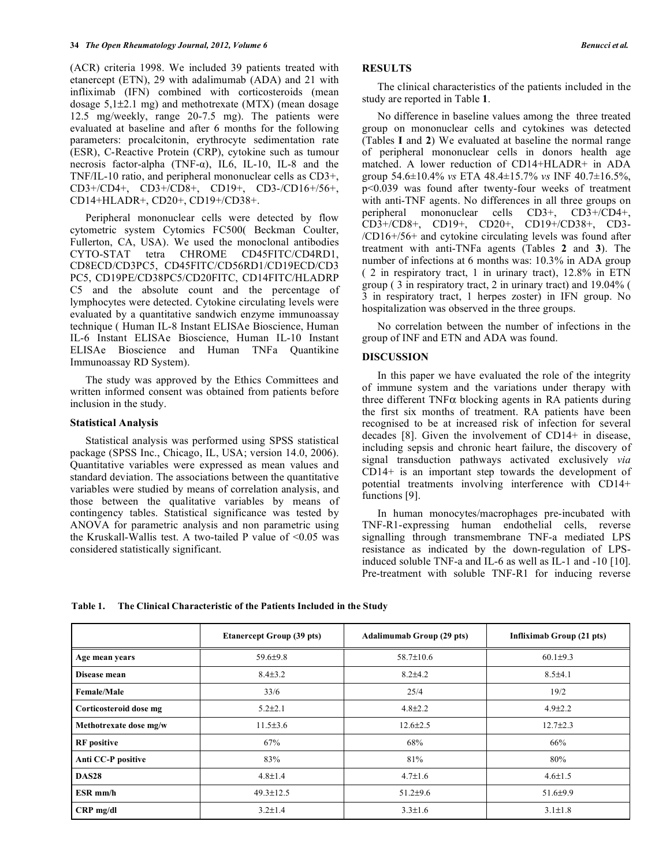(ACR) criteria 1998. We included 39 patients treated with etanercept (ETN), 29 with adalimumab (ADA) and 21 with infliximab (IFN) combined with corticosteroids (mean dosage 5,1±2.1 mg) and methotrexate (MTX) (mean dosage 12.5 mg/weekly, range 20-7.5 mg). The patients were evaluated at baseline and after 6 months for the following parameters: procalcitonin, erythrocyte sedimentation rate (ESR), C-Reactive Protein (CRP), cytokine such as tumour necrosis factor-alpha (TNF- $\alpha$ ), IL6, IL-10, IL-8 and the TNF/IL-10 ratio, and peripheral mononuclear cells as CD3+, CD3+/CD4+, CD3+/CD8+, CD19+, CD3-/CD16+/56+, CD14+HLADR+, CD20+, CD19+/CD38+.

 Peripheral mononuclear cells were detected by flow cytometric system Cytomics FC500( Beckman Coulter, Fullerton, CA, USA). We used the monoclonal antibodies CYTO-STAT tetra CHROME CD45FITC/CD4RD1, CD8ECD/CD3PC5, CD45FITC/CD56RD1/CD19ECD/CD3 PC5, CD19PE/CD38PC5/CD20FITC, CD14FITC/HLADRP C5 and the absolute count and the percentage of lymphocytes were detected. Cytokine circulating levels were evaluated by a quantitative sandwich enzyme immunoassay technique ( Human IL-8 Instant ELISAe Bioscience, Human IL-6 Instant ELISAe Bioscience, Human IL-10 Instant ELISAe Bioscience and Human TNFa Quantikine Immunoassay RD System).

 The study was approved by the Ethics Committees and written informed consent was obtained from patients before inclusion in the study.

#### **Statistical Analysis**

 Statistical analysis was performed using SPSS statistical package (SPSS Inc., Chicago, IL, USA; version 14.0, 2006). Quantitative variables were expressed as mean values and standard deviation. The associations between the quantitative variables were studied by means of correlation analysis, and those between the qualitative variables by means of contingency tables. Statistical significance was tested by ANOVA for parametric analysis and non parametric using the Kruskall-Wallis test. A two-tailed P value of  $\leq 0.05$  was considered statistically significant.

# **RESULTS**

 The clinical characteristics of the patients included in the study are reported in Table **1**.

 No difference in baseline values among the three treated group on mononuclear cells and cytokines was detected (Tables **I** and **2**) We evaluated at baseline the normal range of peripheral mononuclear cells in donors health age matched. A lower reduction of CD14+HLADR+ in ADA group 54.6±10.4% *vs* ETA 48.4±15.7% *vs* INF 40.7±16.5%, p<0.039 was found after twenty-four weeks of treatment with anti-TNF agents. No differences in all three groups on peripheral mononuclear cells CD3+, CD3+/CD4+, CD3+/CD8+, CD19+, CD20+, CD19+/CD38+, CD3- /CD16+/56+ and cytokine circulating levels was found after treatment with anti-TNFa agents (Tables **2** and **3**). The number of infections at 6 months was: 10.3% in ADA group ( 2 in respiratory tract, 1 in urinary tract), 12.8% in ETN group ( 3 in respiratory tract, 2 in urinary tract) and 19.04% ( 3 in respiratory tract, 1 herpes zoster) in IFN group. No hospitalization was observed in the three groups.

 No correlation between the number of infections in the group of INF and ETN and ADA was found.

#### **DISCUSSION**

 In this paper we have evaluated the role of the integrity of immune system and the variations under therapy with three different  $TNF\alpha$  blocking agents in RA patients during the first six months of treatment. RA patients have been recognised to be at increased risk of infection for several decades [8]. Given the involvement of CD14+ in disease, including sepsis and chronic heart failure, the discovery of signal transduction pathways activated exclusively *via*  CD14+ is an important step towards the development of potential treatments involving interference with CD14+ functions [9].

 In human monocytes/macrophages pre-incubated with TNF-R1-expressing human endothelial cells, reverse signalling through transmembrane TNF-a mediated LPS resistance as indicated by the down-regulation of LPSinduced soluble TNF-a and IL-6 as well as IL-1 and -10 [10]. Pre-treatment with soluble TNF-R1 for inducing reverse

**Table 1. The Clinical Characteristic of the Patients Included in the Study** 

|                        | <b>Etanercept Group (39 pts)</b> | <b>Adalimumab Group (29 pts)</b> | Infliximab Group (21 pts) |  |  |
|------------------------|----------------------------------|----------------------------------|---------------------------|--|--|
| Age mean years         | $59.6 \pm 9.8$                   | $58.7 \pm 10.6$                  | $60.1\pm9.3$              |  |  |
| Disease mean           | $8.4 \pm 3.2$                    | $8.2{\pm}4.2$                    | $8.5 \pm 4.1$             |  |  |
| <b>Female/Male</b>     | 33/6                             | 25/4                             | 19/2                      |  |  |
| Corticosteroid dose mg | $5.2 \pm 2.1$                    | $4.8 \pm 2.2$                    | $4.9 \pm 2.2$             |  |  |
| Methotrexate dose mg/w | $11.5\pm3.6$                     | $12.6 \pm 2.5$                   | $12.7 \pm 2.3$            |  |  |
| <b>RF</b> positive     | 67%                              | 68%                              | 66%                       |  |  |
| Anti CC-P positive     | 83%                              | 81%                              | 80%                       |  |  |
| <b>DAS28</b>           | $4.8 \pm 1.4$                    | $4.7 \pm 1.6$                    | $4.6 \pm 1.5$             |  |  |
| ESR mm/h               | $49.3 \pm 12.5$                  | $51.2 \pm 9.6$                   | 51.6±9.9                  |  |  |
| $CRP$ mg/dl            | $3.2 \pm 1.4$                    | $3.3 \pm 1.6$                    | $3.1 \pm 1.8$             |  |  |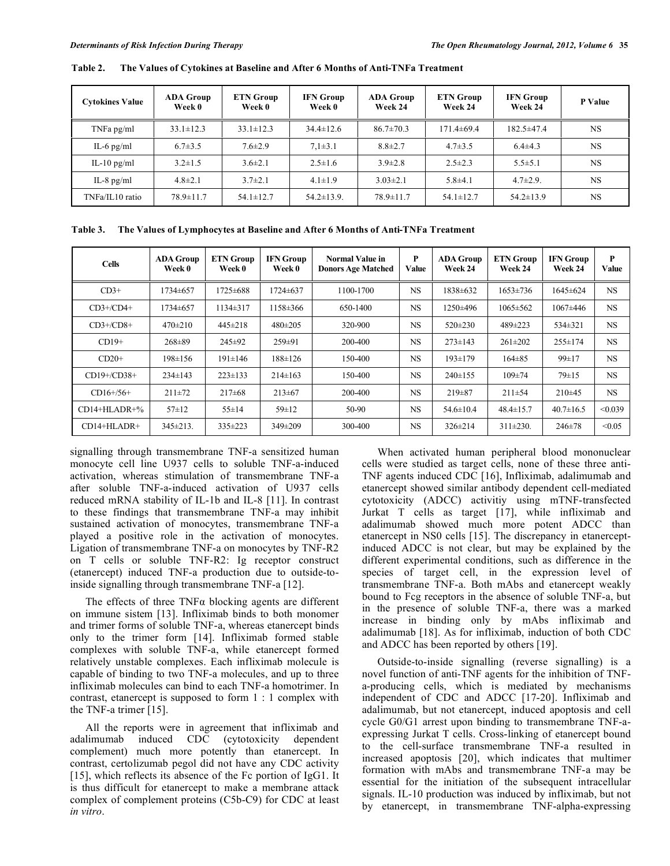| <b>Cytokines Value</b> | ADA Group<br>Week 0 | <b>ETN Group</b><br>Week 0 | <b>IFN</b> Group<br>Week 0 | <b>ADA Group</b><br>Week 24 | <b>ETN Group</b><br>Week 24 | <b>IFN Group</b><br>Week 24 | P Value   |
|------------------------|---------------------|----------------------------|----------------------------|-----------------------------|-----------------------------|-----------------------------|-----------|
| TNFa pg/ml             | $33.1 \pm 12.3$     | $33.1 \pm 12.3$            | $34.4 \pm 12.6$            | $86.7 \pm 70.3$             | $171.4 \pm 69.4$            | $182.5 \pm 47.4$            | NS        |
| IL-6 $pg/ml$           | $6.7 \pm 3.5$       | $7.6 \pm 2.9$              | $7.1 \pm 3.1$              | $8.8 \pm 2.7$               | $4.7 \pm 3.5$               | $6.4\pm4.3$                 | <b>NS</b> |
| IL-10 $pg/ml$          | $3.2 \pm 1.5$       | $3.6 \pm 2.1$              | $2.5 \pm 1.6$              | $3.9 \pm 2.8$               | $2.5 \pm 2.3$               | $5.5 \pm 5.1$               | <b>NS</b> |
| IL-8 $pg/ml$           | $4.8 \pm 2.1$       | $3.7 \pm 2.1$              | $4.1 \pm 1.9$              | $3.03 \pm 2.1$              | $5.8{\pm}4.1$               | $4.7 \pm 2.9$               | <b>NS</b> |
| TNFa/IL10 ratio        | $78.9 \pm 11.7$     | $54.1 \pm 12.7$            | $54.2 \pm 13.9$ .          | $78.9 \pm 11.7$             | $54.1 \pm 12.7$             | $54.2 \pm 13.9$             | <b>NS</b> |

**Table 2. The Values of Cytokines at Baseline and After 6 Months of Anti-TNFa Treatment** 

**Table 3. The Values of Lymphocytes at Baseline and After 6 Months of Anti-TNFa Treatment** 

| <b>Cells</b>     | <b>ADA Group</b><br>Week 0 | <b>ETN Group</b><br>Week 0 | <b>IFN Group</b><br>Week 0 | Normal Value in<br><b>Donors Age Matched</b> | P<br>Value | <b>ADA Group</b><br>Week 24 | <b>ETN Group</b><br>Week 24 | <b>IFN Group</b><br>Week 24 | P<br>Value |
|------------------|----------------------------|----------------------------|----------------------------|----------------------------------------------|------------|-----------------------------|-----------------------------|-----------------------------|------------|
| $CD3+$           | 1734±657                   | 1725±688                   | 1724 ± 637                 | 1100-1700                                    | <b>NS</b>  | 1838±632                    | $1653 \pm 736$              | 1645±624                    | NS.        |
| $CD3+/CD4+$      | 1734±657                   | 1134±317                   | 1158 ± 366                 | 650-1400                                     | <b>NS</b>  | 1250±496                    | $1065 \pm 562$              | $1067 \pm 446$              | NS.        |
| $CD3+/CD8+$      | $470 \pm 210$              | $445 \pm 218$              | $480 \pm 205$              | 320-900                                      | <b>NS</b>  | $520 \pm 230$               | 489±223                     | 534±321                     | NS.        |
| $CD19+$          | $268 \pm 89$               | $245 \pm 92$               | 259±91                     | 200-400                                      | <b>NS</b>  | $273 \pm 143$               | $261 \pm 202$               | $255 \pm 174$               | <b>NS</b>  |
| $CD20+$          | 198±156                    | $191 \pm 146$              | $188 \pm 126$              | 150-400                                      | <b>NS</b>  | $193 \pm 179$               | $164\pm85$                  | 99±17                       | <b>NS</b>  |
| CD19+/CD38+      | $234 \pm 143$              | $223 \pm 133$              | $214 \pm 163$              | 150-400                                      | <b>NS</b>  | $240 \pm 155$               | $109 \pm 74$                | $79 \pm 15$                 | <b>NS</b>  |
| $CD16+/56+$      | $211 \pm 72$               | $217\pm 68$                | $213 \pm 67$               | 200-400                                      | <b>NS</b>  | $219 \pm 87$                | $211 \pm 54$                | $210\pm 45$                 | <b>NS</b>  |
| $CD14+HLADR+%$   | $57 \pm 12$                | $55 \pm 14$                | $59 \pm 12$                | 50-90                                        | <b>NS</b>  | $54.6 \pm 10.4$             | $48.4 \pm 15.7$             | $40.7 \pm 16.5$             | < 0.039    |
| $CD14+HI$ $ADR+$ | $345 \pm 213$ .            | $335 \pm 223$              | 349±209                    | 300-400                                      | <b>NS</b>  | $326 \pm 214$               | $311\pm230$ .               | $246 \pm 78$                | < 0.05     |

signalling through transmembrane TNF-a sensitized human monocyte cell line U937 cells to soluble TNF-a-induced activation, whereas stimulation of transmembrane TNF-a after soluble TNF-a-induced activation of U937 cells reduced mRNA stability of IL-1b and IL-8 [11]. In contrast to these findings that transmembrane TNF-a may inhibit sustained activation of monocytes, transmembrane TNF-a played a positive role in the activation of monocytes. Ligation of transmembrane TNF-a on monocytes by TNF-R2 on T cells or soluble TNF-R2: Ig receptor construct (etanercept) induced TNF-a production due to outside-toinside signalling through transmembrane TNF-a [12].

The effects of three  $TNF\alpha$  blocking agents are different on immune sistem [13]. Infliximab binds to both monomer and trimer forms of soluble TNF-a, whereas etanercept binds only to the trimer form [14]. Infliximab formed stable complexes with soluble TNF-a, while etanercept formed relatively unstable complexes. Each infliximab molecule is capable of binding to two TNF-a molecules, and up to three infliximab molecules can bind to each TNF-a homotrimer. In contrast, etanercept is supposed to form 1 : 1 complex with the TNF-a trimer [15].

All the reports were in agreement that infliximab and<br>limumab induced CDC (cytotoxicity dependent adalimumab induced CDC (cytotoxicity dependent complement) much more potently than etanercept. In contrast, certolizumab pegol did not have any CDC activity [15], which reflects its absence of the Fc portion of IgG1. It is thus difficult for etanercept to make a membrane attack complex of complement proteins (C5b-C9) for CDC at least *in vitro*.

 When activated human peripheral blood mononuclear cells were studied as target cells, none of these three anti-TNF agents induced CDC [16], Infliximab, adalimumab and etanercept showed similar antibody dependent cell-mediated cytotoxicity (ADCC) activitiy using mTNF-transfected Jurkat T cells as target [17], while infliximab and adalimumab showed much more potent ADCC than etanercept in NS0 cells [15]. The discrepancy in etanerceptinduced ADCC is not clear, but may be explained by the different experimental conditions, such as difference in the species of target cell, in the expression level of transmembrane TNF-a. Both mAbs and etanercept weakly bound to Fcg receptors in the absence of soluble TNF-a, but in the presence of soluble TNF-a, there was a marked increase in binding only by mAbs infliximab and adalimumab [18]. As for infliximab, induction of both CDC and ADCC has been reported by others [19].

 Outside-to-inside signalling (reverse signalling) is a novel function of anti-TNF agents for the inhibition of TNFa-producing cells, which is mediated by mechanisms independent of CDC and ADCC [17-20]. Infliximab and adalimumab, but not etanercept, induced apoptosis and cell cycle G0/G1 arrest upon binding to transmembrane TNF-aexpressing Jurkat T cells. Cross-linking of etanercept bound to the cell-surface transmembrane TNF-a resulted in increased apoptosis [20], which indicates that multimer formation with mAbs and transmembrane TNF-a may be essential for the initiation of the subsequent intracellular signals. IL-10 production was induced by infliximab, but not by etanercept, in transmembrane TNF-alpha-expressing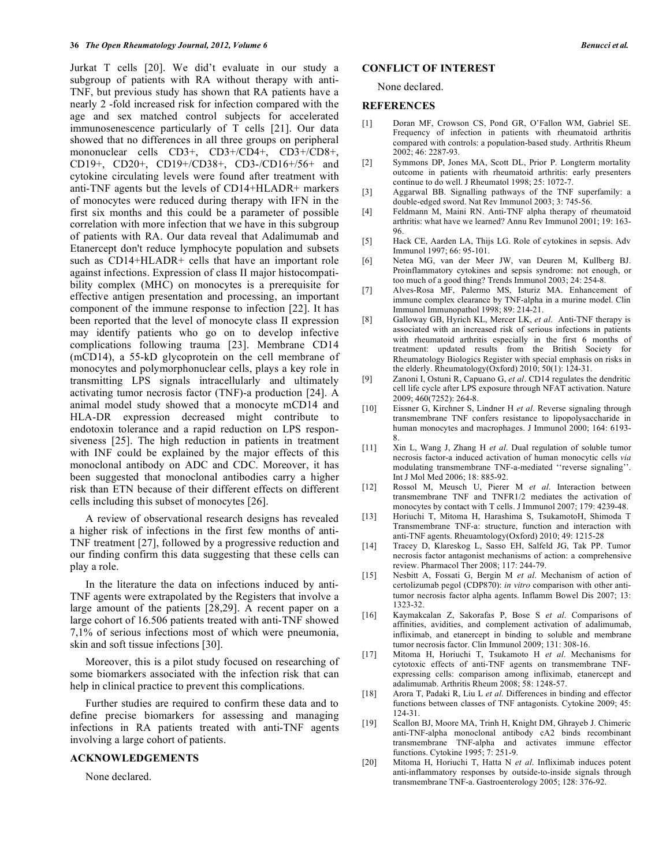Jurkat T cells [20]. We did't evaluate in our study a subgroup of patients with RA without therapy with anti-TNF, but previous study has shown that RA patients have a nearly 2 -fold increased risk for infection compared with the age and sex matched control subjects for accelerated immunosenescence particularly of T cells [21]. Our data showed that no differences in all three groups on peripheral mononuclear cells CD3+, CD3+/CD4+, CD3+/CD8+, CD19+, CD20+, CD19+/CD38+, CD3-/CD16+/56+ and cytokine circulating levels were found after treatment with anti-TNF agents but the levels of CD14+HLADR+ markers of monocytes were reduced during therapy with IFN in the first six months and this could be a parameter of possible correlation with more infection that we have in this subgroup of patients with RA. Our data reveal that Adalimumab and Etanercept don't reduce lymphocyte population and subsets such as CD14+HLADR+ cells that have an important role against infections. Expression of class II major histocompatibility complex (MHC) on monocytes is a prerequisite for effective antigen presentation and processing, an important component of the immune response to infection [22]. It has been reported that the level of monocyte class II expression may identify patients who go on to develop infective complications following trauma [23]. Membrane CD14 (mCD14), a 55-kD glycoprotein on the cell membrane of monocytes and polymorphonuclear cells, plays a key role in transmitting LPS signals intracellularly and ultimately activating tumor necrosis factor (TNF)-a production [24]. A animal model study showed that a monocyte mCD14 and HLA-DR expression decreased might contribute to endotoxin tolerance and a rapid reduction on LPS responsiveness [25]. The high reduction in patients in treatment with INF could be explained by the major effects of this monoclonal antibody on ADC and CDC. Moreover, it has been suggested that monoclonal antibodies carry a higher risk than ETN because of their different effects on different cells including this subset of monocytes [26].

 A review of observational research designs has revealed a higher risk of infections in the first few months of anti-TNF treatment [27], followed by a progressive reduction and our finding confirm this data suggesting that these cells can play a role.

 In the literature the data on infections induced by anti-TNF agents were extrapolated by the Registers that involve a large amount of the patients [28,29]. A recent paper on a large cohort of 16.506 patients treated with anti-TNF showed 7,1% of serious infections most of which were pneumonia, skin and soft tissue infections [30].

 Moreover, this is a pilot study focused on researching of some biomarkers associated with the infection risk that can help in clinical practice to prevent this complications.

 Further studies are required to confirm these data and to define precise biomarkers for assessing and managing infections in RA patients treated with anti-TNF agents involving a large cohort of patients.

### **ACKNOWLEDGEMENTS**

None declared.

## **CONFLICT OF INTEREST**

None declared.

#### **REFERENCES**

- [1] Doran MF, Crowson CS, Pond GR, O'Fallon WM, Gabriel SE. Frequency of infection in patients with rheumatoid arthritis compared with controls: a population-based study. Arthritis Rheum 2002; 46: 2287-93.
- [2] Symmons DP, Jones MA, Scott DL, Prior P. Longterm mortality outcome in patients with rheumatoid arthritis: early presenters continue to do well. J Rheumatol 1998; 25: 1072-7.
- [3] Aggarwal BB. Signalling pathways of the TNF superfamily: a double-edged sword. Nat Rev Immunol 2003; 3: 745-56.
- [4] Feldmann M, Maini RN. Anti-TNF alpha therapy of rheumatoid arthritis: what have we learned? Annu Rev Immunol 2001; 19: 163- 96.
- [5] Hack CE, Aarden LA, Thijs LG. Role of cytokines in sepsis. Adv Immunol 1997; 66: 95-101.
- [6] Netea MG, van der Meer JW, van Deuren M, Kullberg BJ. Proinflammatory cytokines and sepsis syndrome: not enough, or too much of a good thing? Trends Immunol 2003; 24: 254-8.
- [7] Alves-Rosa MF, Palermo MS, Isturiz MA. Enhancement of immune complex clearance by TNF-alpha in a murine model. Clin Immunol Immunopathol 1998; 89: 214-21.
- [8] Galloway GB, Hyrich KL, Mercer LK, *et al*. Anti-TNF therapy is associated with an increased risk of serious infections in patients with rheumatoid arthritis especially in the first 6 months of treatment: updated results from the British Society for Rheumatology Biologics Register with special emphasis on risks in the elderly. Rheumatology(Oxford) 2010; 50(1): 124-31.
- [9] Zanoni I, Ostuni R, Capuano G, *et al*. CD14 regulates the dendritic cell life cycle after LPS exposure through NFAT activation. Nature 2009; 460(7252): 264-8.
- [10] Eissner G, Kirchner S, Lindner H *et al*. Reverse signaling through transmembrane TNF confers resistance to lipopolysaccharide in human monocytes and macrophages. J Immunol 2000; 164: 6193-8.
- [11] Xin L, Wang J, Zhang H *et al*. Dual regulation of soluble tumor necrosis factor-a induced activation of human monocytic cells *via*  modulating transmembrane TNF-a-mediated ''reverse signaling''. Int J Mol Med 2006; 18: 885-92.
- [12] Rossol M, Meusch U, Pierer M *et al*. Interaction between transmembrane TNF and TNFR1/2 mediates the activation of monocytes by contact with T cells. J Immunol 2007; 179: 4239-48.
- [13] Horiuchi T, Mitoma H, Harashima S, TsukamotoH, Shimoda T Transmembrane TNF-a: structure, function and interaction with anti-TNF agents. Rheuamtology(Oxford) 2010; 49: 1215-28
- [14] Tracey D, Klareskog L, Sasso EH, Salfeld JG, Tak PP. Tumor necrosis factor antagonist mechanisms of action: a comprehensive review. Pharmacol Ther 2008; 117: 244-79.
- [15] Nesbitt A, Fossati G, Bergin M *et al*. Mechanism of action of certolizumab pegol (CDP870): *in vitro* comparison with other antitumor necrosis factor alpha agents. Inflamm Bowel Dis 2007; 13: 1323-32.
- [16] Kaymakcalan Z, Sakorafas P, Bose S *et al*. Comparisons of affinities, avidities, and complement activation of adalimumab, infliximab, and etanercept in binding to soluble and membrane tumor necrosis factor. Clin Immunol 2009; 131: 308-16.
- [17] Mitoma H, Horiuchi T, Tsukamoto H *et al*. Mechanisms for cytotoxic effects of anti-TNF agents on transmembrane TNFexpressing cells: comparison among infliximab, etanercept and adalimumab. Arthritis Rheum 2008; 58: 1248-57.
- [18] Arora T, Padaki R, Liu L *et al*. Differences in binding and effector functions between classes of TNF antagonists. Cytokine 2009; 45: 124-31.
- [19] Scallon BJ, Moore MA, Trinh H, Knight DM, Ghrayeb J. Chimeric anti-TNF-alpha monoclonal antibody cA2 binds recombinant transmembrane TNF-alpha and activates immune effector functions. Cytokine 1995; 7: 251-9.
- [20] Mitoma H, Horiuchi T, Hatta N *et al*. Infliximab induces potent anti-inflammatory responses by outside-to-inside signals through transmembrane TNF-a. Gastroenterology 2005; 128: 376-92.